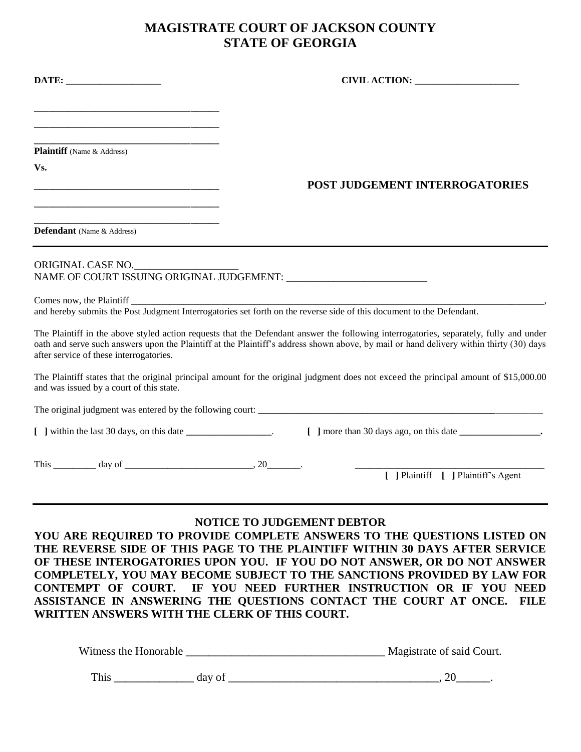## **MAGISTRATE COURT OF JACKSON COUNTY STATE OF GEORGIA**

|                                                                                                        | CIVIL ACTION:                                                                                                                                                                                                                                                                     |
|--------------------------------------------------------------------------------------------------------|-----------------------------------------------------------------------------------------------------------------------------------------------------------------------------------------------------------------------------------------------------------------------------------|
| <u> 1980 - Johann Barn, amerikansk politiker (d. 1980)</u>                                             |                                                                                                                                                                                                                                                                                   |
| <u> 1989 - Johann Barbara, martin da kasar Amerikaan kasar da</u><br><b>Plaintiff</b> (Name & Address) |                                                                                                                                                                                                                                                                                   |
| Vs.<br><u> 1980 - Johann Barbara, margaret eta biztanleria (h. 1980).</u>                              | <b>POST JUDGEMENT INTERROGATORIES</b>                                                                                                                                                                                                                                             |
| <u> 1989 - Johann Barbara, martin da kasar Amerikaan kasar da</u><br><b>Defendant</b> (Name & Address) |                                                                                                                                                                                                                                                                                   |
| ORIGINAL CASE NO.                                                                                      |                                                                                                                                                                                                                                                                                   |
|                                                                                                        |                                                                                                                                                                                                                                                                                   |
| after service of these interrogatories.                                                                | The Plaintiff in the above styled action requests that the Defendant answer the following interrogatories, separately, fully and under<br>oath and serve such answers upon the Plaintiff at the Plaintiff's address shown above, by mail or hand delivery within thirty (30) days |
| and was issued by a court of this state.                                                               | The Plaintiff states that the original principal amount for the original judgment does not exceed the principal amount of \$15,000.00                                                                                                                                             |
|                                                                                                        |                                                                                                                                                                                                                                                                                   |
| [ ] within the last 30 days, on this date ___________________.                                         |                                                                                                                                                                                                                                                                                   |
| This $\_\_\_\_\_$ day of $\_\_\_\_\_\_\_$ , 20                                                         |                                                                                                                                                                                                                                                                                   |
|                                                                                                        | [ ] Plaintiff [ ] Plaintiff's Agent                                                                                                                                                                                                                                               |
|                                                                                                        | <b>NOTICE TO JUDGEMENT DEBTOR</b>                                                                                                                                                                                                                                                 |
|                                                                                                        | YOU ARE REQUIRED TO PROVIDE COMPLETE ANSWERS TO THE QUESTIONS LISTED ON<br>THE REVERSE SIDE OF THIS PAGE TO THE PLAINTIFF WITHIN 30 DAYS AFTER SERVICE<br>OF THESE INTEROGATORIES UPON YOU. IF YOU DO NOT ANSWER, OR DO NOT ANSWER                                                |

**COMPLETELY, YOU MAY BECOME SUBJECT TO THE SANCTIONS PROVIDED BY LAW FOR CONTEMPT OF COURT. IF YOU NEED FURTHER INSTRUCTION OR IF YOU NEED ASSISTANCE IN ANSWERING THE QUESTIONS CONTACT THE COURT AT ONCE. FILE WRITTEN ANSWERS WITH THE CLERK OF THIS COURT.**

| Witness the Honorable | Magistrate of said Court. |
|-----------------------|---------------------------|
|                       |                           |

| $\overline{1}$ | ---<br>-- |  |  |  |
|----------------|-----------|--|--|--|
|----------------|-----------|--|--|--|